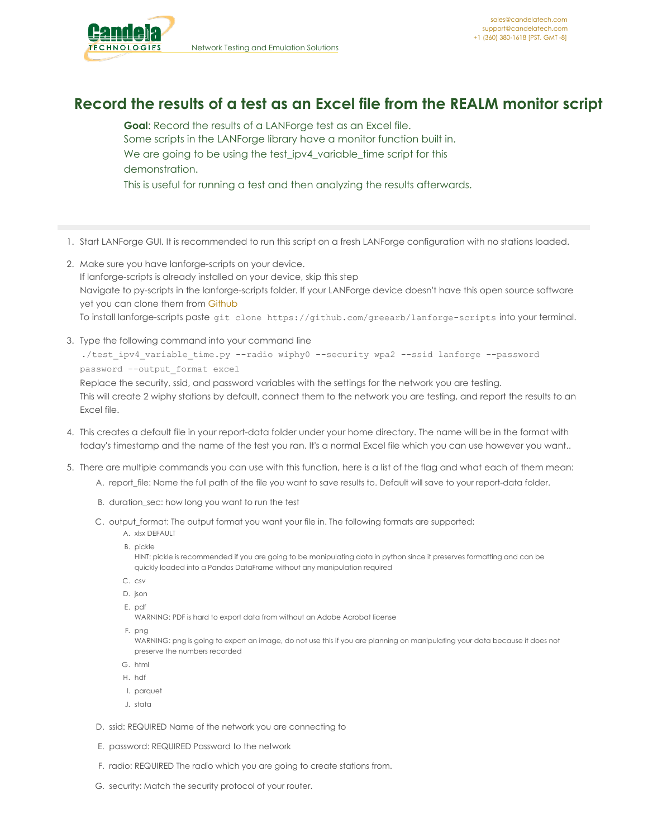

## **Record the results of a test as an Excel file from the REALM monitor script**

**Goal**: Record the results of a LANForge test as an Excel file. Some scripts in the LANForge library have a monitor function built in. We are going to be using the test\_ipv4\_variable\_time script for this demonstration. This is useful for running a test and then analyzing the results afterwards.

- 1. Start LANForge GUI. It is recommended to run this script on a fresh LANForge configuration with no stations loaded.
- 2. Make sure you have lanforge-scripts on your device. If lanforge-scripts is already installed on your device, skip this step Navigate to py-scripts in the lanforge-scripts folder. If your LANForge device doesn't have this open source software yet you can clone them from [Github](https://github.com/greearb/lanforge-scripts) To install lanforge-scripts paste git clone https://github.com/greearb/lanforge-scripts into your terminal.
- 3. Type the following command into your command line

./test ipv4 variable time.py --radio wiphy0 --security wpa2 --ssid lanforge --password password --output\_format excel

Replace the security, ssid, and password variables with the settings for the network you are testing. This will create 2 wiphy stations by default, connect them to the network you are testing, and report the results to an Excel file.

- 4. This creates a default file in your report-data folder under your home directory. The name will be in the format with today's timestamp and the name of the test you ran. It's a normal Excel file which you can use however you want..
- 5. There are multiple commands you can use with this function, here is a list of the flag and what each of them mean:
	- A. report\_file: Name the full path of the file you want to save results to. Default will save to your report-data folder.
	- B. duration\_sec: how long you want to run the test
	- C. output format: The output format you want your file in. The following formats are supported:
		- A. xlsx DEFAULT
		- B. pickle
		- HINT: pickle is recommended if you are going to be manipulating data in python since it preserves formatting and can be quickly loaded into a Pandas DataFrame without any manipulation required
		- C. csv
		- D. json
		- E. pdf

WARNING: PDF is hard to export data from without an Adobe Acrobat license

F. png

WARNING: png is going to export an image, do not use this if you are planning on manipulating your data because it does not preserve the numbers recorded

- G. html
- H. hdf
- I. parquet
- J. stata
- D. ssid: REQUIRED Name of the network you are connecting to
- E. password: REQUIRED Password to the network
- F. radio: REQUIRED The radio which you are going to create stations from.
- G. security: Match the security protocol of your router.